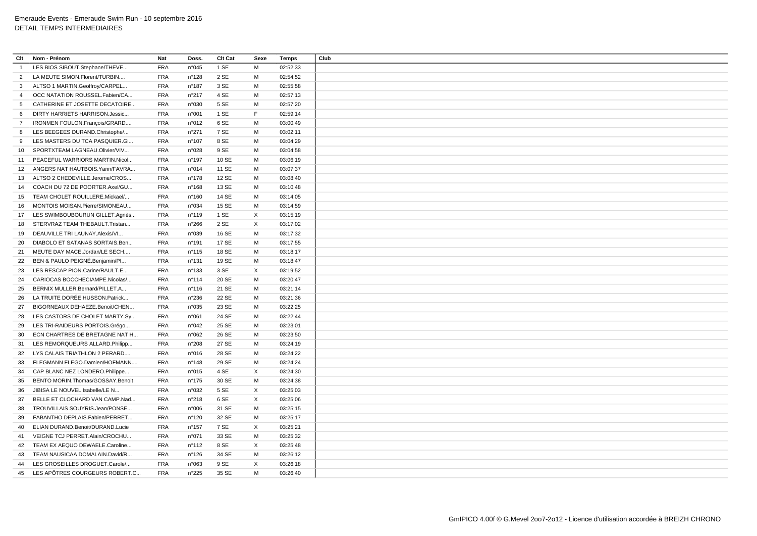| Clt            | Nom - Prénom                       | <b>Nat</b> | Doss.           | Clt Cat | Sexe | Temps    | Club |
|----------------|------------------------------------|------------|-----------------|---------|------|----------|------|
| $\overline{1}$ | LES BIOS SIBOUT.Stephane/THEVE     | <b>FRA</b> | n°045           | 1 SE    | M    | 02:52:33 |      |
| 2              | LA MEUTE SIMON.Florent/TURBIN      | <b>FRA</b> | n°128           | 2 SE    | M    | 02:54:52 |      |
| 3              | ALTSO 1 MARTIN.Geoffroy/CARPEL     | <b>FRA</b> | $n^{\circ}$ 187 | 3 SE    | M    | 02:55:58 |      |
| $\overline{4}$ | OCC NATATION ROUSSEL.Fabien/CA     | <b>FRA</b> | n°217           | 4 SE    | M    | 02:57:13 |      |
| $5^{\circ}$    | CATHERINE ET JOSETTE DECATOIRE     | <b>FRA</b> | n°030           | 5 SE    | M    | 02:57:20 |      |
| 6              | DIRTY HARRIETS HARRISON.Jessic     | <b>FRA</b> | n°001           | 1 SE    | F    | 02:59:14 |      |
| $\overline{7}$ | IRONMEN FOULON.François/GRARD      | <b>FRA</b> | n°012           | 6 SE    | M    | 03:00:49 |      |
| 8              | LES BEEGEES DURAND.Christophe/     | <b>FRA</b> | n°271           | 7 SE    | M    | 03:02:11 |      |
| 9              | LES MASTERS DU TCA PASQUIER.Gi     | <b>FRA</b> | $n^{\circ}107$  | 8 SE    | M    | 03:04:29 |      |
| 10             | SPORTXTEAM LAGNEAU.Olivier/VIV     | <b>FRA</b> | n°028           | 9 SE    | M    | 03:04:58 |      |
| 11             | PEACEFUL WARRIORS MARTIN.Nicol     | <b>FRA</b> | n°197           | 10 SE   | M    | 03:06:19 |      |
|                | 12 ANGERS NAT HAUTBOIS. Yann/FAVRA | <b>FRA</b> | n°014           | 11 SE   | M    | 03:07:37 |      |
| 13             | ALTSO 2 CHEDEVILLE.Jerome/CROS     | <b>FRA</b> | $n^{\circ}$ 178 | 12 SE   | M    | 03:08:40 |      |
| 14             | COACH DU 72 DE POORTER.Axel/GU     | <b>FRA</b> | n°168           | 13 SE   | M    | 03:10:48 |      |
|                | 15 TEAM CHOLET ROUILLERE.Mickael/  | <b>FRA</b> | $n^{\circ}160$  | 14 SE   | М    | 03:14:05 |      |
| 16             | MONTOIS MOISAN.Pierre/SIMONEAU     | <b>FRA</b> | n°034           | 15 SE   | M    | 03:14:59 |      |
| 17             | LES SWIMBOUBOURUN GILLET.Agnès     | <b>FRA</b> | $n^{\circ}$ 119 | 1 SE    | X    | 03:15:19 |      |
| 18             | STERVRAZ TEAM THEBAULT. Tristan    | <b>FRA</b> | n°266           | 2 SE    | X    | 03:17:02 |      |
| 19             | DEAUVILLE TRI LAUNAY.Alexis/VI     | <b>FRA</b> | n°039           | 16 SE   | M    | 03:17:32 |      |
| 20             | DIABOLO ET SATANAS SORTAIS.Ben     | <b>FRA</b> | $n^{\circ}$ 191 | 17 SE   | М    | 03:17:55 |      |
| 21             | MEUTE DAY MACE.Jordan/LE SECH      | <b>FRA</b> | n°115           | 18 SE   | M    | 03:18:17 |      |
| 22             | BEN & PAULO PEIGNÉ.Benjamin/PI     | <b>FRA</b> | n°131           | 19 SE   | M    | 03:18:47 |      |
| 23             | LES RESCAP PION.Carine/RAULT.E     | <b>FRA</b> | $n^{\circ}$ 133 | 3 SE    | X    | 03:19:52 |      |
| 24             | CARIOCAS BOCCHECIAMPE.Nicolas/     | <b>FRA</b> | $n^{\circ}114$  | 20 SE   | M    | 03:20:47 |      |
| 25             | BERNIX MULLER.Bernard/PILLET.A     | <b>FRA</b> | $n^{\circ}$ 116 | 21 SE   | М    | 03:21:14 |      |
| 26             | LA TRUITE DORÉE HUSSON.Patrick     | <b>FRA</b> | n°236           | 22 SE   | M    | 03:21:36 |      |
| 27             | BIGORNEAUX DEHAEZE.Benoit/CHEN     | <b>FRA</b> | n°035           | 23 SE   | M    | 03:22:25 |      |
| 28             | LES CASTORS DE CHOLET MARTY.Sy     | <b>FRA</b> | n°061           | 24 SE   | M    | 03:22:44 |      |
| 29             | LES TRI-RAIDEURS PORTOIS.Grégo     | <b>FRA</b> | n°042           | 25 SE   | M    | 03:23:01 |      |
| 30             | ECN CHARTRES DE BRETAGNE NAT H     | <b>FRA</b> | n°062           | 26 SE   | M    | 03:23:50 |      |
| 31             | LES REMORQUEURS ALLARD.Philipp     | <b>FRA</b> | n°208           | 27 SE   | M    | 03:24:19 |      |
| 32             | LYS CALAIS TRIATHLON 2 PERARD      | <b>FRA</b> | n°016           | 28 SE   | M    | 03:24:22 |      |
| 33             | FLEGMANN FLEGO.Damien/HOFMANN      | <b>FRA</b> | $n^{\circ}$ 148 | 29 SE   | М    | 03:24:24 |      |
| 34             | CAP BLANC NEZ LONDERO.Philippe     | <b>FRA</b> | n°015           | 4 SE    | X    | 03:24:30 |      |
| 35             | BENTO MORIN.Thomas/GOSSAY.Benoit   | <b>FRA</b> | $n^{\circ}$ 175 | 30 SE   | М    | 03:24:38 |      |
| 36             | JIBISA LE NOUVEL.Isabelle/LE N     | <b>FRA</b> | n°032           | 5 SE    | X    | 03:25:03 |      |
| 37             | BELLE ET CLOCHARD VAN CAMP.Nad     | <b>FRA</b> | n°218           | 6 SE    | X    | 03:25:06 |      |
| 38             | TROUVILLAIS SOUYRIS.Jean/PONSE     | <b>FRA</b> | n°006           | 31 SE   | M    | 03:25:15 |      |
| 39             | FABANTHO DEPLAIS.Fabien/PERRET     | <b>FRA</b> | n°120           | 32 SE   | M    | 03:25:17 |      |
|                |                                    | <b>FRA</b> |                 | 7 SE    | X    |          |      |
| 40             | ELIAN DURAND.Benoit/DURAND.Lucie   |            | $n^{\circ}$ 157 |         |      | 03:25:21 |      |
| 41             | VEIGNE TCJ PERRET.Alain/CROCHU     | <b>FRA</b> | n°071           | 33 SE   | M    | 03:25:32 |      |
| 42             | TEAM EX AEQUO DEWAELE.Caroline     | <b>FRA</b> | $n^{\circ}$ 112 | 8 SE    | X    | 03:25:48 |      |
| 43             | TEAM NAUSICAA DOMALAIN.David/R     | <b>FRA</b> | $n^{\circ}$ 126 | 34 SE   | M    | 03:26:12 |      |
| 44             | LES GROSEILLES DROGUET.Carole/     | <b>FRA</b> | n°063           | 9 SE    | X    | 03:26:18 |      |
| 45             | LES APÔTRES COURGEURS ROBERT.C     | <b>FRA</b> | n°225           | 35 SE   | M    | 03:26:40 |      |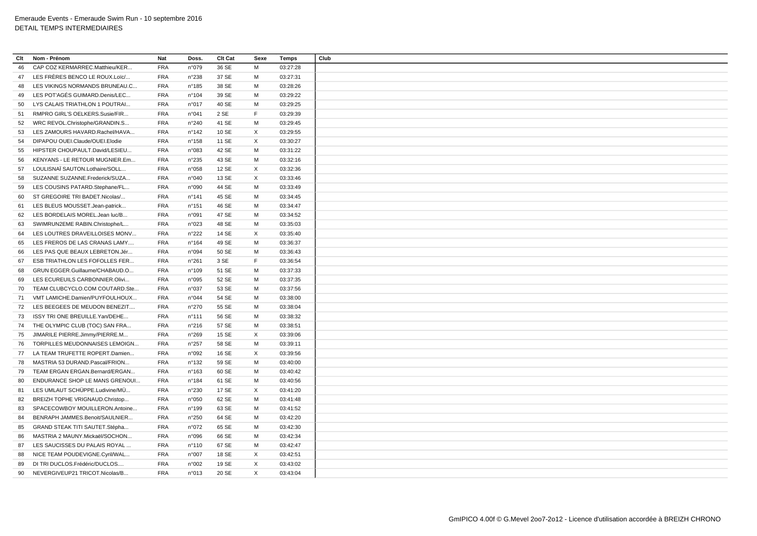| Clt | Nom - Prénom                                                     | <b>Nat</b>               | Doss.           | Clt Cat | Sexe        | Temps                | Club |  |  |
|-----|------------------------------------------------------------------|--------------------------|-----------------|---------|-------------|----------------------|------|--|--|
| 46  | CAP COZ KERMARREC.Matthieu/KER                                   | <b>FRA</b>               | n°079           | 36 SE   | M           | 03:27:28             |      |  |  |
| 47  | LES FRÈRES BENCO LE ROUX.Loïc/                                   | <b>FRA</b>               | n°238           | 37 SE   | M           | 03:27:31             |      |  |  |
| 48  | LES VIKINGS NORMANDS BRUNEAU.C                                   | <b>FRA</b>               | $n^{\circ}185$  | 38 SE   | M           | 03:28:26             |      |  |  |
| 49  | LES POT'AGÉS GUIMARD.Denis/LEC                                   | <b>FRA</b>               | n°104           | 39 SE   | М           | 03:29:22             |      |  |  |
| 50  | LYS CALAIS TRIATHLON 1 POUTRAI                                   | <b>FRA</b>               | n°017           | 40 SE   | M           | 03:29:25             |      |  |  |
|     |                                                                  |                          | n°041           | 2 SE    | F           |                      |      |  |  |
| 51  | RMPRO GIRL'S OELKERS.Susie/FIR                                   | <b>FRA</b>               | $n^{\circ}240$  | 41 SE   | M           | 03:29:39<br>03:29:45 |      |  |  |
| 52  | WRC REVOL.Christophe/GRANDIN.S<br>LES ZAMOURS HAVARD.Rachel/HAVA | <b>FRA</b><br><b>FRA</b> | $n^{\circ}$ 142 | 10 SE   | X           | 03:29:55             |      |  |  |
| 53  |                                                                  |                          |                 |         |             |                      |      |  |  |
| 54  | DIPAPOU OUEI.Claude/OUEI.Elodie                                  | <b>FRA</b>               | $n^{\circ}$ 158 | 11 SE   | X           | 03:30:27             |      |  |  |
| 55  | HIPSTER CHOUPAULT.David/LESIEU                                   | <b>FRA</b>               | n°083           | 42 SE   | M           | 03:31:22             |      |  |  |
| 56  | KENYANS - LE RETOUR MUGNIER.Em                                   | <b>FRA</b>               | n°235           | 43 SE   | M           | 03:32:16             |      |  |  |
| 57  | LOULISNAÏ SAUTON.Lothaire/SOLL                                   | <b>FRA</b>               | n°058           | 12 SE   | X           | 03:32:36             |      |  |  |
| 58  | SUZANNE SUZANNE.Frederick/SUZA                                   | <b>FRA</b>               | n°040           | 13 SE   | X           | 03:33:46             |      |  |  |
| 59  | LES COUSINS PATARD.Stephane/FL                                   | <b>FRA</b>               | n°090           | 44 SE   | M           | 03:33:49             |      |  |  |
| 60  | ST GREGOIRE TRI BADET.Nicolas/                                   | <b>FRA</b>               | $n^{\circ}$ 141 | 45 SE   | М           | 03:34:45             |      |  |  |
| 61  | LES BLEUS MOUSSET.Jean-patrick                                   | <b>FRA</b>               | $n^{\circ}$ 151 | 46 SE   | M           | 03:34:47             |      |  |  |
| 62  | LES BORDELAIS MOREL.Jean luc/B                                   | <b>FRA</b>               | n°091           | 47 SE   | M           | 03:34:52             |      |  |  |
| 63  | SWIMRUN2EME RABIN.Christophe/L                                   | <b>FRA</b>               | n°023           | 48 SE   | M           | 03:35:03             |      |  |  |
| 64  | LES LOUTRES DRAVEILLOISES MONV                                   | <b>FRA</b>               | n°222           | 14 SE   | X           | 03:35:40             |      |  |  |
| 65  | LES FREROS DE LAS CRANAS LAMY                                    | <b>FRA</b>               | $n^{\circ}164$  | 49 SE   | M           | 03:36:37             |      |  |  |
| 66  | LES PAS QUE BEAUX LEBRETON.Jér                                   | <b>FRA</b>               | n°094           | 50 SE   | M           | 03:36:43             |      |  |  |
| 67  | ESB TRIATHLON LES FOFOLLES FER                                   | <b>FRA</b>               | $n^{\circ}261$  | 3 SE    | F           | 03:36:54             |      |  |  |
| 68  | GRUN EGGER.Guillaume/CHABAUD.O                                   | <b>FRA</b>               | $n^{\circ}109$  | 51 SE   | М           | 03:37:33             |      |  |  |
| 69  | LES ECUREUILS CARBONNIER.Olivi                                   | <b>FRA</b>               | n°095           | 52 SE   | M           | 03:37:35             |      |  |  |
| 70  | TEAM CLUBCYCLO.COM COUTARD.Ste                                   | <b>FRA</b>               | n°037           | 53 SE   | M           | 03:37:56             |      |  |  |
| 71  | VMT LAMICHE.Damien/PUYFOULHOUX                                   | <b>FRA</b>               | n°044           | 54 SE   | M           | 03:38:00             |      |  |  |
| 72  | LES BEEGEES DE MEUDON BENEZIT                                    | <b>FRA</b>               | n°270           | 55 SE   | M           | 03:38:04             |      |  |  |
| 73  | ISSY TRI ONE BREUILLE. Yan/DEHE                                  | <b>FRA</b>               | $n^{\circ}$ 111 | 56 SE   | M           | 03:38:32             |      |  |  |
| 74  | THE OLYMPIC CLUB (TOC) SAN FRA                                   | <b>FRA</b>               | $n^{\circ}216$  | 57 SE   | М           | 03:38:51             |      |  |  |
| 75  | JIMARILE PIERRE.Jimmy/PIERRE.M                                   | <b>FRA</b>               | n°269           | 15 SE   | X           | 03:39:06             |      |  |  |
| 76  | TORPILLES MEUDONNAISES LEMOIGN                                   | <b>FRA</b>               | n°257           | 58 SE   | M           | 03:39:11             |      |  |  |
|     | 77 LA TEAM TRUFETTE ROPERT.Damien                                | <b>FRA</b>               | n°092           | 16 SE   | X           | 03:39:56             |      |  |  |
| 78  | MASTRIA 53 DURAND.Pascal/FRION                                   | <b>FRA</b>               | $n^{\circ}$ 132 | 59 SE   | M           | 03:40:00             |      |  |  |
| 79  | TEAM ERGAN ERGAN.Bernard/ERGAN                                   | <b>FRA</b>               | $n^{\circ}163$  | 60 SE   | M           | 03:40:42             |      |  |  |
| 80  | ENDURANCE SHOP LE MANS GRENOUI                                   | <b>FRA</b>               | n°184           | 61 SE   | M           | 03:40:56             |      |  |  |
| 81  | LES UMLAUT SCHÜPPE.Ludivine/MÜ                                   | <b>FRA</b>               | n°230           | 17 SE   | X           | 03:41:20             |      |  |  |
|     | BREIZH TOPHE VRIGNAUD.Christop                                   | <b>FRA</b>               | n°050           | 62 SE   | M           | 03:41:48             |      |  |  |
| 82  |                                                                  |                          |                 |         |             |                      |      |  |  |
| 83  | SPACECOWBOY MOUILLERON.Antoine                                   | <b>FRA</b>               | n°199           | 63 SE   | M           | 03:41:52             |      |  |  |
| 84  | BENRAPH JAMMES.Benoit/SAULNIER                                   | <b>FRA</b>               | n°250           | 64 SE   | M           | 03:42:20             |      |  |  |
| 85  | GRAND STEAK TITI SAUTET.Stépha                                   | <b>FRA</b>               | n°072           | 65 SE   | M           | 03:42:30             |      |  |  |
| 86  | MASTRIA 2 MAUNY.Mickaël/SOCHON                                   | <b>FRA</b>               | n°096           | 66 SE   | М           | 03:42:34             |      |  |  |
| 87  | LES SAUCISSES DU PALAIS ROYAL                                    | <b>FRA</b>               | $n^{\circ}110$  | 67 SE   | M           | 03:42:47             |      |  |  |
| 88  | NICE TEAM POUDEVIGNE.Cyril/WAL                                   | <b>FRA</b>               | n°007           | 18 SE   | X           | 03:42:51             |      |  |  |
| 89  | DI TRI DUCLOS.Frédéric/DUCLOS                                    | <b>FRA</b>               | n°002           | 19 SE   | X           | 03:43:02             |      |  |  |
| 90  | NEVERGIVEUP21 TRICOT.Nicolas/B                                   | <b>FRA</b>               | n°013           | 20 SE   | $\mathsf X$ | 03:43:04             |      |  |  |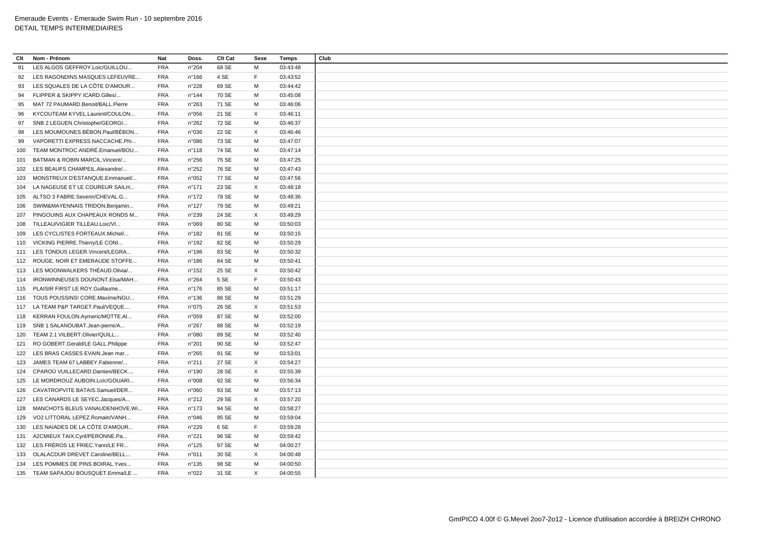| Clt | Nom - Prénom                        | Nat        | Doss.           | Clt Cat | Sexe        | Temps    | Club |
|-----|-------------------------------------|------------|-----------------|---------|-------------|----------|------|
| 91  | LES ALGOS GEFFROY.Loic/GUILLOU.     | <b>FRA</b> | n°204           | 68 SE   | M           | 03:43:48 |      |
| 92  | LES RAGONDINS MASQUES LEFEUVRE      | <b>FRA</b> | n°166           | 4 SE    | $\mathsf F$ | 03:43:52 |      |
| 93  | LES SQUALES DE LA CÔTE D'AMOUR      | <b>FRA</b> | n°228           | 69 SE   | M           | 03:44:42 |      |
| 94  | FLIPPER & SKIPPY ICARD.Gilles/      | <b>FRA</b> | n°144           | 70 SE   | M           | 03:45:08 |      |
| 95  | MAT 72 PAUMARD.Benoit/BALL.Pierre   | <b>FRA</b> | n°263           | 71 SE   | M           | 03:46:06 |      |
| 96  | KYCOUTEAM KYVEL.Laurent/COULON      | <b>FRA</b> | n°056           | 21 SE   | $\times$    | 03:46:11 |      |
| 97  | SNB 2 LEGUEN.Christophe/GEORGI      | <b>FRA</b> | n°262           | 72 SE   | M           | 03:46:37 |      |
| 98  | LES MOUMOUNES BÉBON.Paul/BÉBON      | <b>FRA</b> | n°036           | 22 SE   | $\times$    | 03:46:46 |      |
| 99  | VAPORETTI EXPRESS NACCACHE.Phi      | <b>FRA</b> | n°086           | 73 SE   | M           | 03:47:07 |      |
| 100 | TEAM MONTROC ANDRÉ.Emanuel/BOU      | <b>FRA</b> | n°118           | 74 SE   | M           | 03:47:14 |      |
| 101 | BATMAN & ROBIN MARCIL. Vincent/     | <b>FRA</b> | n°256           | 75 SE   | M           | 03:47:25 |      |
|     | 102 LES BEAUFS CHAMPEIL.Alexandre/  | <b>FRA</b> | n°252           | 76 SE   | M           | 03:47:43 |      |
| 103 | MONSTREUX D'ESTANQUE.Emmanuel/      | <b>FRA</b> | n°052           | 77 SE   | M           | 03:47:56 |      |
| 104 | LA NAGEUSE ET LE COUREUR SAILH      | <b>FRA</b> | $n^{\circ}$ 171 | 23 SE   | $\times$    | 03:48:18 |      |
|     | 105 ALTSO 3 FABRE.Severin/CHEVAL.G  | <b>FRA</b> | n°172           | 78 SE   | M           | 03:48:36 |      |
| 106 | SWIM&MAYENNAIS TRIDON.Benjamin      | <b>FRA</b> | $n^{\circ}127$  | 79 SE   | M           | 03:49:21 |      |
| 107 | PINGOUINS AUX CHAPEAUX RONDS M      | <b>FRA</b> | n°239           | 24 SE   | $\times$    | 03:49:29 |      |
| 108 | TILLEAU/VIGIER TILLEAU.Loic/VI      | <b>FRA</b> | n°069           | 80 SE   | M           | 03:50:03 |      |
| 109 | LES CYCLISTES FORTEAUX.Michel/      | <b>FRA</b> | n°182           | 81 SE   | M           | 03:50:15 |      |
|     | 110 VICKING PIERRE. Thierry/LE CONI | <b>FRA</b> | n°192           | 82 SE   | M           | 03:50:29 |      |
|     | 111 LES TONDUS LEGER.Vincent/LEGRA  | <b>FRA</b> | n°196           | 83 SE   | M           | 03:50:32 |      |
|     | 112 ROUGE, NOIR ET EMERAUDE STOFFE  | <b>FRA</b> | n°186           | 84 SE   | M           | 03:50:41 |      |
|     | 113 LES MOONWALKERS THÉAUD.Olivia/  | <b>FRA</b> | n°152           | 25 SE   | $\times$    | 03:50:42 |      |
| 114 | IRONWINNEUSES DOUNONT.Elsa/MAH      | <b>FRA</b> | n°264           | 5 SE    | F           | 03:50:43 |      |
|     | 115 PLAISIR FIRST LE ROY.Guillaume  | <b>FRA</b> | n°176           | 85 SE   | M           | 03:51:17 |      |
|     | TOUS POUSSINS! CORE.Maxime/NGU      | <b>FRA</b> | n°136           | 86 SE   | M           | 03:51:29 |      |
| 116 |                                     |            |                 |         |             |          |      |
|     | 117 LA TEAM P&P TARGET.Paul/VEQUE   | <b>FRA</b> | n°075           | 26 SE   | $\times$    | 03:51:53 |      |
|     | 118 KERRAN FOULON.Aymeric/MOTTE.AI  | <b>FRA</b> | n°059           | 87 SE   | M           | 03:52:00 |      |
| 119 | SNB 1 SALANOUBAT.Jean-pierre/A      | <b>FRA</b> | n°267           | 88 SE   | M           | 03:52:19 |      |
| 120 | TEAM 2.1 VILBERT.Olivier/QUILL      | <b>FRA</b> | n°080           | 89 SE   | M           | 03:52:40 |      |
| 121 | RO GOBERT.Gerald/LE GALL.Philippe   | <b>FRA</b> | n°201           | 90 SE   | M           | 03:52:47 |      |
| 122 | LES BRAS CASSES EVAIN.Jean mar      | <b>FRA</b> | n°265           | 91 SE   | M           | 03:53:01 |      |
| 123 | JAMES TEAM 67 LABBEY.Fabienne/      | <b>FRA</b> | n°211           | 27 SE   | $\times$    | 03:54:27 |      |
| 124 | CPAROÙ VUILLECARD.Damien/BECK       | <b>FRA</b> | n°190           | 28 SE   | $\times$    | 03:55:39 |      |
| 125 | LE MORDROUZ AUBOIN.Loïc/GOUARI      | <b>FRA</b> | n°008           | 92 SE   | M           | 03:56:34 |      |
| 126 | CAVATROPVITE BATAIS.Samuel/DER      | <b>FRA</b> | n°060           | 93 SE   | M           | 03:57:13 |      |
| 127 | LES CANARDS LE SEYEC.Jacques/A      | <b>FRA</b> | n°212           | 29 SE   | $\times$    | 03:57:20 |      |
| 128 | MANCHOTS BLEUS VANAUDENHOVE.Wi      | <b>FRA</b> | n°173           | 94 SE   | M           | 03:58:27 |      |
| 129 | VO2 LITTORAL LEPEZ.Romain/VANH      | <b>FRA</b> | n°046           | 95 SE   | M           | 03:59:04 |      |
| 130 | LES NAIADES DE LA CÔTE D'AMOUR      | <b>FRA</b> | n°229           | 6 SE    | $\mathsf F$ | 03:59:28 |      |
|     | 131 A2CMIEUX TAIX.Cyril/PERONNE.Pa  | <b>FRA</b> | n°221           | 96 SE   | M           | 03:59:42 |      |
|     | 132 LES FRÉROS LE FRIEC. Yann/LE FR | <b>FRA</b> | n°125           | 97 SE   | M           | 04:00:27 |      |
|     | 133 OLALACDUR DREVET.Caroline/BELL  | <b>FRA</b> | n°011           | 30 SE   | $\times$    | 04:00:48 |      |
| 134 | LES POMMES DE PINS BOIRAL. Yves     | <b>FRA</b> | $n^{\circ}$ 135 | 98 SE   | M           | 04:00:50 |      |
|     | 135 TEAM SAPAJOU BOUSQUET.Emma/LE   | <b>FRA</b> | n°022           | 31 SE   | $\times$    | 04:00:55 |      |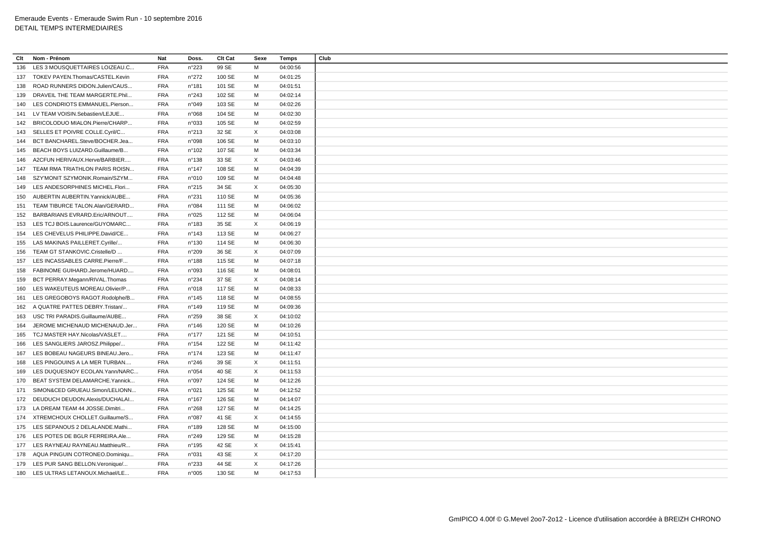| Clt | Nom - Prénom                        | <b>Nat</b> | Doss.           | Clt Cat | Sexe | <b>Temps</b> |
|-----|-------------------------------------|------------|-----------------|---------|------|--------------|
| 136 | LES 3 MOUSQUETTAIRES LOIZEAU.C      | <b>FRA</b> | n°223           | 99 SE   | M    | 04:00:56     |
|     | 137 TOKEV PAYEN.Thomas/CASTEL.Kevin | <b>FRA</b> | n°272           | 100 SE  | м    | 04:01:25     |
| 138 | ROAD RUNNERS DIDON.Julien/CAUS      | <b>FRA</b> | n°181           | 101 SE  | M    | 04:01:51     |
| 139 | DRAVEIL THE TEAM MARGERTE.Phil      | <b>FRA</b> | n°243           | 102 SE  | м    | 04:02:14     |
| 140 | LES CONDRIOTS EMMANUEL.Pierson      | <b>FRA</b> | n°049           | 103 SE  | M    | 04:02:26     |
|     | 141 LV TEAM VOISIN.Sebastien/LEJUE  | <b>FRA</b> | n°068           | 104 SE  | M    | 04:02:30     |
|     |                                     |            |                 |         |      |              |
|     | 142 BRICOLODUO MIALON.Pierre/CHARP  | <b>FRA</b> | n°033           | 105 SE  | M    | 04:02:59     |
|     | 143 SELLES ET POIVRE COLLE.Cyril/C  | <b>FRA</b> | n°213           | 32 SE   | X    | 04:03:08     |
|     | 144 BCT BANCHAREL.Steve/BOCHER.Jea  | <b>FRA</b> | n°098           | 106 SE  | M    | 04:03:10     |
|     | 145 BEACH BOYS LUIZARD.Guillaume/B  | <b>FRA</b> | n°102           | 107 SE  | M    | 04:03:34     |
| 146 | A2CFUN HERIVAUX.Herve/BARBIER       | <b>FRA</b> | n°138           | 33 SE   | X    | 04:03:46     |
| 147 | TEAM RMA TRIATHLON PARIS ROISN      | <b>FRA</b> | $n^{\circ}$ 147 | 108 SE  | M    | 04:04:39     |
| 148 | SZY'MONIT SZYMONIK.Romain/SZYM      | <b>FRA</b> | n°010           | 109 SE  | M    | 04:04:48     |
| 149 | LES ANDESORPHINES MICHEL.Flori      | <b>FRA</b> | n°215           | 34 SE   | X    | 04:05:30     |
| 150 | AUBERTIN AUBERTIN. Yannick/AUBE     | <b>FRA</b> | n°231           | 110 SE  | M    | 04:05:36     |
| 151 | TEAM TIBURCE TALON.Alan/GERARD      | <b>FRA</b> | n°084           | 111 SE  | м    | 04:06:02     |
| 152 | BARBARIANS EVRARD.Eric/ARNOUT       | <b>FRA</b> | n°025           | 112 SE  | M    | 04:06:04     |
| 153 | LES TCJ BOIS.Laurence/GUYOMARC      | <b>FRA</b> | n°183           | 35 SE   | Χ    | 04:06:19     |
|     | 154 LES CHEVELUS PHILIPPE.David/CE  | <b>FRA</b> | n°143           | 113 SE  | M    | 04:06:27     |
|     | 155 LAS MAKINAS PAILLERET.Cyrille/  | <b>FRA</b> | n°130           | 114 SE  | M    | 04:06:30     |
| 156 | TEAM GT STANKOVIC.Cristelle/D       | <b>FRA</b> | n°209           | 36 SE   | X    | 04:07:09     |
| 157 | LES INCASSABLES CARRE.Pierre/F      | <b>FRA</b> | n°188           | 115 SE  | M    | 04:07:18     |
| 158 | FABINOME GUIHARD.Jerome/HUARD       | <b>FRA</b> | n°093           | 116 SE  | M    | 04:08:01     |
| 159 | BCT PERRAY.Megann/RIVAL.Thomas      | <b>FRA</b> | n°234           | 37 SE   | X    | 04:08:14     |
|     | LES WAKEUTEUS MOREAU.Olivier/P      | <b>FRA</b> | n°018           | 117 SE  | M    |              |
| 160 |                                     |            |                 |         |      | 04:08:33     |
| 161 | LES GREGOBOYS RAGOT.Rodolphe/B      | <b>FRA</b> | n°145           | 118 SE  | м    | 04:08:55     |
| 162 | A QUATRE PATTES DEBRY.Tristan/      | <b>FRA</b> | n°149           | 119 SE  | M    | 04:09:36     |
| 163 | USC TRI PARADIS.Guillaume/AUBE      | <b>FRA</b> | n°259           | 38 SE   | X    | 04:10:02     |
| 164 | JEROME MICHENAUD MICHENAUD.Jer      | <b>FRA</b> | $n^{\circ}$ 146 | 120 SE  | M    | 04:10:26     |
| 165 | TCJ MASTER HAY.Nicolas/VASLET       | <b>FRA</b> | $n^{\circ}$ 177 | 121 SE  | M    | 04:10:51     |
| 166 | LES SANGLIERS JAROSZ.Philippe/      | <b>FRA</b> | $n^{\circ}$ 154 | 122 SE  | M    | 04:11:42     |
|     | 167 LES BOBEAU NAGEURS BINEAU.Jero  | <b>FRA</b> | $n^{\circ}174$  | 123 SE  | M    | 04:11:47     |
| 168 | LES PINGOUINS A LA MER TURBAN       | <b>FRA</b> | $n^{\circ}246$  | 39 SE   | X    | 04:11:51     |
| 169 | LES DUQUESNOY ECOLAN. Yann/NARC     | <b>FRA</b> | n°054           | 40 SE   | X    | 04:11:53     |
| 170 | BEAT SYSTEM DELAMARCHE.Yannick      | <b>FRA</b> | n°097           | 124 SE  | M    | 04:12:26     |
| 171 | SIMON&CED GRUEAU.Simon/LELIONN      | <b>FRA</b> | n°021           | 125 SE  | М    | 04:12:52     |
|     | 172 DEUDUCH DEUDON.Alexis/DUCHALAI  | <b>FRA</b> | $n^{\circ}167$  | 126 SE  | м    | 04:14:07     |
| 173 | LA DREAM TEAM 44 JOSSE.Dimitri      | <b>FRA</b> | n°268           | 127 SE  | м    | 04:14:25     |
|     | 174 XTREMCHOUX CHOLLET.Guillaume/S  | <b>FRA</b> | n°087           | 41 SE   | X    | 04:14:55     |
|     | 175 LES SEPANOUS 2 DELALANDE.Mathi  | <b>FRA</b> | n°189           | 128 SE  | M    | 04:15:00     |
|     | 176 LES POTES DE BGLR FERREIRA.Ale  | <b>FRA</b> |                 | 129 SE  | М    |              |
|     |                                     |            | n°249           |         |      | 04:15:28     |
| 177 | LES RAYNEAU RAYNEAU.Matthieu/R      | <b>FRA</b> | n°195           | 42 SE   | X    | 04:15:41     |
| 178 | AQUA PINGUIN COTRONEO.Dominiqu      | <b>FRA</b> | n°031           | 43 SE   | X    | 04:17:20     |
| 179 | LES PUR SANG BELLON. Veronique/     | <b>FRA</b> | n°233           | 44 SE   | X    | 04:17:26     |
|     | 180 LES ULTRAS LETANOUX.Michael/LE  | <b>FRA</b> | n°005           | 130 SE  | M    | 04:17:53     |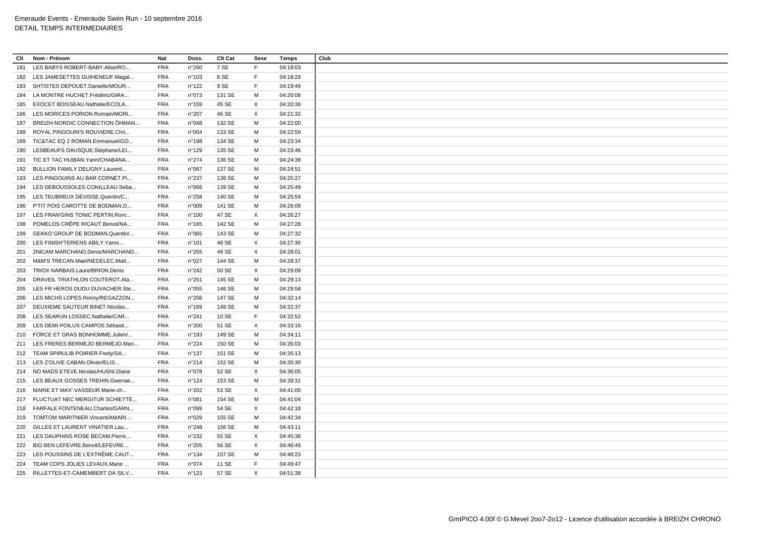| <b>FRA</b><br>7 SE<br>04:18:03<br>181<br>LES BABYS ROBERT-BABY.Alise/RO<br>n°260<br>F.<br>8 SE<br>F.<br>182 LES JAMESETTES GUIHENEUF.Magal<br><b>FRA</b><br>n°103<br>04:18:29<br><b>FRA</b><br>$n^{\circ}$ 122<br>9 SE<br>F.<br>04:19:49<br>183<br>SHTISTES DEPOUET.Danielle/MOUR<br>LA MONTRE HUCHET.Frédéric/GIRA<br><b>FRA</b><br>n°073<br>131 SE<br>м<br>04:20:08<br>184<br><b>FRA</b><br>n°159<br>45 SE<br>X<br>04:20:36<br>EXOCET BOISSEAU.Nathalie/ECOLA<br>185<br>X<br>LES MORICES PORION.Romain/MORI<br><b>FRA</b><br>n°207<br>46 SE<br>04:21:32<br>186<br>BREIZH-NORDIC CONNECTION ÖHMAN<br><b>FRA</b><br>132 SE<br>M<br>04:22:00<br>187<br>n°048<br><b>FRA</b><br>ROYAL PINGOUIN'S ROUVIERE.Chri<br>n°004<br>133 SE<br>M<br>04:22:59<br>188<br>TIC&TAC EQ 2 ROMAN.Emmanuel/GO<br><b>FRA</b><br>134 SE<br>M<br>04:23:34<br>n°198<br>189<br>LESBEAUFS DAUSQUE.Stéphane/LEI<br><b>FRA</b><br>135 SE<br>M<br>n°129<br>04:23:46<br>190<br>191 TIC ET TAC HUIBAN. Yann/CHABANA<br><b>FRA</b><br>n°274<br>136 SE<br>м<br>04:24:38<br><b>FRA</b><br>137 SE<br>M<br>BULLION FAMILY DELIGNY.Laurent<br>n°067<br>04:24:51<br>192<br>LES PINGOUINS AU BAR CORNET.Pi<br><b>FRA</b><br>n°237<br>138 SE<br>М<br>04:25:27<br>193<br><b>FRA</b><br>139 SE<br>M<br>04:25:49<br>LES DEBOUSSOLES CONILLEAU.Seba<br>n°066<br>194<br><b>FRA</b><br>n°258<br>140 SE<br>м<br>04:25:59<br>195 LES TEUBREUX DEVISSE.Quentin/C<br>141 SE<br>P'TIT POIS CAROTTE DE BODMAN.D<br><b>FRA</b><br>n°009<br>м<br>04:26:09<br>196<br>X<br>LES FRAN'GINS TONIC PERTIN.Rom<br><b>FRA</b><br>47 SE<br>197<br>n°100<br>04:26:27<br>POMELOS CRÊPE RICAUT.Benoit/NA<br>142 SE<br>04:27:28<br><b>FRA</b><br>$n^{\circ}165$<br>м<br>198<br><b>FRA</b><br>143 SE<br>M<br>04:27:32<br>GEKKO GROUP DE BODMAN.Quentin/<br>n°065<br>199<br>LES FINISH'TERIENS ABILY.Yanni<br><b>FRA</b><br>48 SE<br>X<br>04:27:36<br>200<br>$n^{\circ}$ 101<br>49 SE<br>X<br>2NICAM MARCHAND.Denis/MARCHAND<br><b>FRA</b><br>n°255<br>04:28:01<br>201<br><b>FRA</b><br>M&M'S TRECAN.Mael/NEDELEC.Matt<br>n°027<br>144 SE<br>м<br>04:28:37<br>202<br>X<br><b>FRA</b><br>50 SE<br>04:29:09<br>203<br>TRIOX NARBAIS.Laure/BRION.Denis<br>n°242<br><b>FRA</b><br>n°251<br>145 SE<br>M<br>04:29:13<br>204<br>DRAVEIL TRIATHLON COUTEROT.Ala<br>LES FR HEROS DUDU DUVACHER.Ste<br><b>FRA</b><br>146 SE<br>м<br>04:29:58<br>205<br>n°055<br><b>FRA</b><br>147 SE<br>M<br>04:32:14<br>LES MICHS LOPES.Ronny/REGAZZON<br>n°206<br>206<br>148 SE<br>M<br>04:32:37<br><b>FRA</b><br>n°169<br>207<br>DEUXIEME SAUTEUR BINET.Nicolas<br><b>FRA</b><br>10 SE<br>F<br>04:32:52<br>208 LES SEARUN LOSSEC.Nathalie/CAR<br>n°241<br>X<br><b>FRA</b><br>n°200<br>51 SE<br>04:33:16<br>LES DEMI-POILUS CAMPOS.Sébasti<br>209<br>M<br>FORCE ET GRAS BONHOMME.Julien/<br><b>FRA</b><br>n°193<br>149 SE<br>04:34:11<br>210<br><b>FRA</b><br>150 SE<br>M<br>211 LES FRERES BERMEJO BERMEJO.Man<br>n°224<br>04:35:03<br>M<br>212 TEAM SPIRULIB POIRIER.Fredy/SA<br><b>FRA</b><br>$n^{\circ}$ 137<br>151 SE<br>04:35:13<br><b>FRA</b><br>152 SE<br>M<br>213 LES Z'OLIVE CABAN.Olivier/ELIS<br>n°214<br>04:35:30<br>X<br><b>FRA</b><br>n°078<br>52 SE<br>04:36:05<br>214 NO MADS ETEVE.Nicolas/HUSNI.Diane<br><b>FRA</b><br>153 SE<br>M<br>04:39:31<br>LES BEAUX GOSSES TREHIN.Gwenae<br>n°124<br>215<br>53 SE<br>X<br>216 MARIE ET MAX' VASSEUR.Marie-ch<br>FRA<br>n°202<br>04:41:00<br>M<br>217 FLUCTUAT NEC MERGITUR SCHIETTE<br><b>FRA</b><br>n°081<br>154 SE<br>04:41:04<br>54 SE<br>X<br>218 FARFALE FONTENEAU.Charles/GARN<br><b>FRA</b><br>n°099<br>04:42:18<br>M<br>219 TOMTOM MARITNIER.Vincent/AMARI<br><b>FRA</b><br>n°029<br>155 SE<br>04:42:34<br><b>FRA</b><br>156 SE<br>M<br>GILLES ET LAURENT VINATIER.Lau<br>n°248<br>04:43:11<br>220<br>221 LES DAUPHINS ROSE BECAM.Pierre<br><b>FRA</b><br>n°232<br>55 SE<br>X<br>04:45:38<br>X<br>BIG BEN LEFEVRE.Benoit/LEFEVRE<br><b>FRA</b><br>n°205<br>56 SE<br>04:46:49<br>222<br>LES POUSSINS DE L'EXTRÊME CAUT<br><b>FRA</b><br>n°134<br>157 SE<br>M<br>04:48:23<br>223<br>TEAM COPS JOLIES LEVAUX.Marie<br><b>FRA</b><br>n°074<br>11 SE<br>F.<br>04:49:47<br>224<br>X<br>225 RILLETTES-ET-CAMEMBERT DA SILV<br><b>FRA</b><br>n°123<br>57 SE<br>04:51:38 | Clt | Nom - Prénom | <b>Nat</b> | Doss. | Clt Cat | Sexe | <b>Temps</b> | Club |
|--------------------------------------------------------------------------------------------------------------------------------------------------------------------------------------------------------------------------------------------------------------------------------------------------------------------------------------------------------------------------------------------------------------------------------------------------------------------------------------------------------------------------------------------------------------------------------------------------------------------------------------------------------------------------------------------------------------------------------------------------------------------------------------------------------------------------------------------------------------------------------------------------------------------------------------------------------------------------------------------------------------------------------------------------------------------------------------------------------------------------------------------------------------------------------------------------------------------------------------------------------------------------------------------------------------------------------------------------------------------------------------------------------------------------------------------------------------------------------------------------------------------------------------------------------------------------------------------------------------------------------------------------------------------------------------------------------------------------------------------------------------------------------------------------------------------------------------------------------------------------------------------------------------------------------------------------------------------------------------------------------------------------------------------------------------------------------------------------------------------------------------------------------------------------------------------------------------------------------------------------------------------------------------------------------------------------------------------------------------------------------------------------------------------------------------------------------------------------------------------------------------------------------------------------------------------------------------------------------------------------------------------------------------------------------------------------------------------------------------------------------------------------------------------------------------------------------------------------------------------------------------------------------------------------------------------------------------------------------------------------------------------------------------------------------------------------------------------------------------------------------------------------------------------------------------------------------------------------------------------------------------------------------------------------------------------------------------------------------------------------------------------------------------------------------------------------------------------------------------------------------------------------------------------------------------------------------------------------------------------------------------------------------------------------------------------------------------------------------------------------------------------------------------------------------------------------------------------------------------------------------------------------------------------------------------------------------------------------------------------------------------------------------------------------------------------------------------------------------------------------------------------------------------------------------------------------------------------------------------|-----|--------------|------------|-------|---------|------|--------------|------|
|                                                                                                                                                                                                                                                                                                                                                                                                                                                                                                                                                                                                                                                                                                                                                                                                                                                                                                                                                                                                                                                                                                                                                                                                                                                                                                                                                                                                                                                                                                                                                                                                                                                                                                                                                                                                                                                                                                                                                                                                                                                                                                                                                                                                                                                                                                                                                                                                                                                                                                                                                                                                                                                                                                                                                                                                                                                                                                                                                                                                                                                                                                                                                                                                                                                                                                                                                                                                                                                                                                                                                                                                                                                                                                                                                                                                                                                                                                                                                                                                                                                                                                                                                                                                                                      |     |              |            |       |         |      |              |      |
|                                                                                                                                                                                                                                                                                                                                                                                                                                                                                                                                                                                                                                                                                                                                                                                                                                                                                                                                                                                                                                                                                                                                                                                                                                                                                                                                                                                                                                                                                                                                                                                                                                                                                                                                                                                                                                                                                                                                                                                                                                                                                                                                                                                                                                                                                                                                                                                                                                                                                                                                                                                                                                                                                                                                                                                                                                                                                                                                                                                                                                                                                                                                                                                                                                                                                                                                                                                                                                                                                                                                                                                                                                                                                                                                                                                                                                                                                                                                                                                                                                                                                                                                                                                                                                      |     |              |            |       |         |      |              |      |
|                                                                                                                                                                                                                                                                                                                                                                                                                                                                                                                                                                                                                                                                                                                                                                                                                                                                                                                                                                                                                                                                                                                                                                                                                                                                                                                                                                                                                                                                                                                                                                                                                                                                                                                                                                                                                                                                                                                                                                                                                                                                                                                                                                                                                                                                                                                                                                                                                                                                                                                                                                                                                                                                                                                                                                                                                                                                                                                                                                                                                                                                                                                                                                                                                                                                                                                                                                                                                                                                                                                                                                                                                                                                                                                                                                                                                                                                                                                                                                                                                                                                                                                                                                                                                                      |     |              |            |       |         |      |              |      |
|                                                                                                                                                                                                                                                                                                                                                                                                                                                                                                                                                                                                                                                                                                                                                                                                                                                                                                                                                                                                                                                                                                                                                                                                                                                                                                                                                                                                                                                                                                                                                                                                                                                                                                                                                                                                                                                                                                                                                                                                                                                                                                                                                                                                                                                                                                                                                                                                                                                                                                                                                                                                                                                                                                                                                                                                                                                                                                                                                                                                                                                                                                                                                                                                                                                                                                                                                                                                                                                                                                                                                                                                                                                                                                                                                                                                                                                                                                                                                                                                                                                                                                                                                                                                                                      |     |              |            |       |         |      |              |      |
|                                                                                                                                                                                                                                                                                                                                                                                                                                                                                                                                                                                                                                                                                                                                                                                                                                                                                                                                                                                                                                                                                                                                                                                                                                                                                                                                                                                                                                                                                                                                                                                                                                                                                                                                                                                                                                                                                                                                                                                                                                                                                                                                                                                                                                                                                                                                                                                                                                                                                                                                                                                                                                                                                                                                                                                                                                                                                                                                                                                                                                                                                                                                                                                                                                                                                                                                                                                                                                                                                                                                                                                                                                                                                                                                                                                                                                                                                                                                                                                                                                                                                                                                                                                                                                      |     |              |            |       |         |      |              |      |
|                                                                                                                                                                                                                                                                                                                                                                                                                                                                                                                                                                                                                                                                                                                                                                                                                                                                                                                                                                                                                                                                                                                                                                                                                                                                                                                                                                                                                                                                                                                                                                                                                                                                                                                                                                                                                                                                                                                                                                                                                                                                                                                                                                                                                                                                                                                                                                                                                                                                                                                                                                                                                                                                                                                                                                                                                                                                                                                                                                                                                                                                                                                                                                                                                                                                                                                                                                                                                                                                                                                                                                                                                                                                                                                                                                                                                                                                                                                                                                                                                                                                                                                                                                                                                                      |     |              |            |       |         |      |              |      |
|                                                                                                                                                                                                                                                                                                                                                                                                                                                                                                                                                                                                                                                                                                                                                                                                                                                                                                                                                                                                                                                                                                                                                                                                                                                                                                                                                                                                                                                                                                                                                                                                                                                                                                                                                                                                                                                                                                                                                                                                                                                                                                                                                                                                                                                                                                                                                                                                                                                                                                                                                                                                                                                                                                                                                                                                                                                                                                                                                                                                                                                                                                                                                                                                                                                                                                                                                                                                                                                                                                                                                                                                                                                                                                                                                                                                                                                                                                                                                                                                                                                                                                                                                                                                                                      |     |              |            |       |         |      |              |      |
|                                                                                                                                                                                                                                                                                                                                                                                                                                                                                                                                                                                                                                                                                                                                                                                                                                                                                                                                                                                                                                                                                                                                                                                                                                                                                                                                                                                                                                                                                                                                                                                                                                                                                                                                                                                                                                                                                                                                                                                                                                                                                                                                                                                                                                                                                                                                                                                                                                                                                                                                                                                                                                                                                                                                                                                                                                                                                                                                                                                                                                                                                                                                                                                                                                                                                                                                                                                                                                                                                                                                                                                                                                                                                                                                                                                                                                                                                                                                                                                                                                                                                                                                                                                                                                      |     |              |            |       |         |      |              |      |
|                                                                                                                                                                                                                                                                                                                                                                                                                                                                                                                                                                                                                                                                                                                                                                                                                                                                                                                                                                                                                                                                                                                                                                                                                                                                                                                                                                                                                                                                                                                                                                                                                                                                                                                                                                                                                                                                                                                                                                                                                                                                                                                                                                                                                                                                                                                                                                                                                                                                                                                                                                                                                                                                                                                                                                                                                                                                                                                                                                                                                                                                                                                                                                                                                                                                                                                                                                                                                                                                                                                                                                                                                                                                                                                                                                                                                                                                                                                                                                                                                                                                                                                                                                                                                                      |     |              |            |       |         |      |              |      |
|                                                                                                                                                                                                                                                                                                                                                                                                                                                                                                                                                                                                                                                                                                                                                                                                                                                                                                                                                                                                                                                                                                                                                                                                                                                                                                                                                                                                                                                                                                                                                                                                                                                                                                                                                                                                                                                                                                                                                                                                                                                                                                                                                                                                                                                                                                                                                                                                                                                                                                                                                                                                                                                                                                                                                                                                                                                                                                                                                                                                                                                                                                                                                                                                                                                                                                                                                                                                                                                                                                                                                                                                                                                                                                                                                                                                                                                                                                                                                                                                                                                                                                                                                                                                                                      |     |              |            |       |         |      |              |      |
|                                                                                                                                                                                                                                                                                                                                                                                                                                                                                                                                                                                                                                                                                                                                                                                                                                                                                                                                                                                                                                                                                                                                                                                                                                                                                                                                                                                                                                                                                                                                                                                                                                                                                                                                                                                                                                                                                                                                                                                                                                                                                                                                                                                                                                                                                                                                                                                                                                                                                                                                                                                                                                                                                                                                                                                                                                                                                                                                                                                                                                                                                                                                                                                                                                                                                                                                                                                                                                                                                                                                                                                                                                                                                                                                                                                                                                                                                                                                                                                                                                                                                                                                                                                                                                      |     |              |            |       |         |      |              |      |
|                                                                                                                                                                                                                                                                                                                                                                                                                                                                                                                                                                                                                                                                                                                                                                                                                                                                                                                                                                                                                                                                                                                                                                                                                                                                                                                                                                                                                                                                                                                                                                                                                                                                                                                                                                                                                                                                                                                                                                                                                                                                                                                                                                                                                                                                                                                                                                                                                                                                                                                                                                                                                                                                                                                                                                                                                                                                                                                                                                                                                                                                                                                                                                                                                                                                                                                                                                                                                                                                                                                                                                                                                                                                                                                                                                                                                                                                                                                                                                                                                                                                                                                                                                                                                                      |     |              |            |       |         |      |              |      |
|                                                                                                                                                                                                                                                                                                                                                                                                                                                                                                                                                                                                                                                                                                                                                                                                                                                                                                                                                                                                                                                                                                                                                                                                                                                                                                                                                                                                                                                                                                                                                                                                                                                                                                                                                                                                                                                                                                                                                                                                                                                                                                                                                                                                                                                                                                                                                                                                                                                                                                                                                                                                                                                                                                                                                                                                                                                                                                                                                                                                                                                                                                                                                                                                                                                                                                                                                                                                                                                                                                                                                                                                                                                                                                                                                                                                                                                                                                                                                                                                                                                                                                                                                                                                                                      |     |              |            |       |         |      |              |      |
|                                                                                                                                                                                                                                                                                                                                                                                                                                                                                                                                                                                                                                                                                                                                                                                                                                                                                                                                                                                                                                                                                                                                                                                                                                                                                                                                                                                                                                                                                                                                                                                                                                                                                                                                                                                                                                                                                                                                                                                                                                                                                                                                                                                                                                                                                                                                                                                                                                                                                                                                                                                                                                                                                                                                                                                                                                                                                                                                                                                                                                                                                                                                                                                                                                                                                                                                                                                                                                                                                                                                                                                                                                                                                                                                                                                                                                                                                                                                                                                                                                                                                                                                                                                                                                      |     |              |            |       |         |      |              |      |
|                                                                                                                                                                                                                                                                                                                                                                                                                                                                                                                                                                                                                                                                                                                                                                                                                                                                                                                                                                                                                                                                                                                                                                                                                                                                                                                                                                                                                                                                                                                                                                                                                                                                                                                                                                                                                                                                                                                                                                                                                                                                                                                                                                                                                                                                                                                                                                                                                                                                                                                                                                                                                                                                                                                                                                                                                                                                                                                                                                                                                                                                                                                                                                                                                                                                                                                                                                                                                                                                                                                                                                                                                                                                                                                                                                                                                                                                                                                                                                                                                                                                                                                                                                                                                                      |     |              |            |       |         |      |              |      |
|                                                                                                                                                                                                                                                                                                                                                                                                                                                                                                                                                                                                                                                                                                                                                                                                                                                                                                                                                                                                                                                                                                                                                                                                                                                                                                                                                                                                                                                                                                                                                                                                                                                                                                                                                                                                                                                                                                                                                                                                                                                                                                                                                                                                                                                                                                                                                                                                                                                                                                                                                                                                                                                                                                                                                                                                                                                                                                                                                                                                                                                                                                                                                                                                                                                                                                                                                                                                                                                                                                                                                                                                                                                                                                                                                                                                                                                                                                                                                                                                                                                                                                                                                                                                                                      |     |              |            |       |         |      |              |      |
|                                                                                                                                                                                                                                                                                                                                                                                                                                                                                                                                                                                                                                                                                                                                                                                                                                                                                                                                                                                                                                                                                                                                                                                                                                                                                                                                                                                                                                                                                                                                                                                                                                                                                                                                                                                                                                                                                                                                                                                                                                                                                                                                                                                                                                                                                                                                                                                                                                                                                                                                                                                                                                                                                                                                                                                                                                                                                                                                                                                                                                                                                                                                                                                                                                                                                                                                                                                                                                                                                                                                                                                                                                                                                                                                                                                                                                                                                                                                                                                                                                                                                                                                                                                                                                      |     |              |            |       |         |      |              |      |
|                                                                                                                                                                                                                                                                                                                                                                                                                                                                                                                                                                                                                                                                                                                                                                                                                                                                                                                                                                                                                                                                                                                                                                                                                                                                                                                                                                                                                                                                                                                                                                                                                                                                                                                                                                                                                                                                                                                                                                                                                                                                                                                                                                                                                                                                                                                                                                                                                                                                                                                                                                                                                                                                                                                                                                                                                                                                                                                                                                                                                                                                                                                                                                                                                                                                                                                                                                                                                                                                                                                                                                                                                                                                                                                                                                                                                                                                                                                                                                                                                                                                                                                                                                                                                                      |     |              |            |       |         |      |              |      |
|                                                                                                                                                                                                                                                                                                                                                                                                                                                                                                                                                                                                                                                                                                                                                                                                                                                                                                                                                                                                                                                                                                                                                                                                                                                                                                                                                                                                                                                                                                                                                                                                                                                                                                                                                                                                                                                                                                                                                                                                                                                                                                                                                                                                                                                                                                                                                                                                                                                                                                                                                                                                                                                                                                                                                                                                                                                                                                                                                                                                                                                                                                                                                                                                                                                                                                                                                                                                                                                                                                                                                                                                                                                                                                                                                                                                                                                                                                                                                                                                                                                                                                                                                                                                                                      |     |              |            |       |         |      |              |      |
|                                                                                                                                                                                                                                                                                                                                                                                                                                                                                                                                                                                                                                                                                                                                                                                                                                                                                                                                                                                                                                                                                                                                                                                                                                                                                                                                                                                                                                                                                                                                                                                                                                                                                                                                                                                                                                                                                                                                                                                                                                                                                                                                                                                                                                                                                                                                                                                                                                                                                                                                                                                                                                                                                                                                                                                                                                                                                                                                                                                                                                                                                                                                                                                                                                                                                                                                                                                                                                                                                                                                                                                                                                                                                                                                                                                                                                                                                                                                                                                                                                                                                                                                                                                                                                      |     |              |            |       |         |      |              |      |
|                                                                                                                                                                                                                                                                                                                                                                                                                                                                                                                                                                                                                                                                                                                                                                                                                                                                                                                                                                                                                                                                                                                                                                                                                                                                                                                                                                                                                                                                                                                                                                                                                                                                                                                                                                                                                                                                                                                                                                                                                                                                                                                                                                                                                                                                                                                                                                                                                                                                                                                                                                                                                                                                                                                                                                                                                                                                                                                                                                                                                                                                                                                                                                                                                                                                                                                                                                                                                                                                                                                                                                                                                                                                                                                                                                                                                                                                                                                                                                                                                                                                                                                                                                                                                                      |     |              |            |       |         |      |              |      |
|                                                                                                                                                                                                                                                                                                                                                                                                                                                                                                                                                                                                                                                                                                                                                                                                                                                                                                                                                                                                                                                                                                                                                                                                                                                                                                                                                                                                                                                                                                                                                                                                                                                                                                                                                                                                                                                                                                                                                                                                                                                                                                                                                                                                                                                                                                                                                                                                                                                                                                                                                                                                                                                                                                                                                                                                                                                                                                                                                                                                                                                                                                                                                                                                                                                                                                                                                                                                                                                                                                                                                                                                                                                                                                                                                                                                                                                                                                                                                                                                                                                                                                                                                                                                                                      |     |              |            |       |         |      |              |      |
|                                                                                                                                                                                                                                                                                                                                                                                                                                                                                                                                                                                                                                                                                                                                                                                                                                                                                                                                                                                                                                                                                                                                                                                                                                                                                                                                                                                                                                                                                                                                                                                                                                                                                                                                                                                                                                                                                                                                                                                                                                                                                                                                                                                                                                                                                                                                                                                                                                                                                                                                                                                                                                                                                                                                                                                                                                                                                                                                                                                                                                                                                                                                                                                                                                                                                                                                                                                                                                                                                                                                                                                                                                                                                                                                                                                                                                                                                                                                                                                                                                                                                                                                                                                                                                      |     |              |            |       |         |      |              |      |
|                                                                                                                                                                                                                                                                                                                                                                                                                                                                                                                                                                                                                                                                                                                                                                                                                                                                                                                                                                                                                                                                                                                                                                                                                                                                                                                                                                                                                                                                                                                                                                                                                                                                                                                                                                                                                                                                                                                                                                                                                                                                                                                                                                                                                                                                                                                                                                                                                                                                                                                                                                                                                                                                                                                                                                                                                                                                                                                                                                                                                                                                                                                                                                                                                                                                                                                                                                                                                                                                                                                                                                                                                                                                                                                                                                                                                                                                                                                                                                                                                                                                                                                                                                                                                                      |     |              |            |       |         |      |              |      |
|                                                                                                                                                                                                                                                                                                                                                                                                                                                                                                                                                                                                                                                                                                                                                                                                                                                                                                                                                                                                                                                                                                                                                                                                                                                                                                                                                                                                                                                                                                                                                                                                                                                                                                                                                                                                                                                                                                                                                                                                                                                                                                                                                                                                                                                                                                                                                                                                                                                                                                                                                                                                                                                                                                                                                                                                                                                                                                                                                                                                                                                                                                                                                                                                                                                                                                                                                                                                                                                                                                                                                                                                                                                                                                                                                                                                                                                                                                                                                                                                                                                                                                                                                                                                                                      |     |              |            |       |         |      |              |      |
|                                                                                                                                                                                                                                                                                                                                                                                                                                                                                                                                                                                                                                                                                                                                                                                                                                                                                                                                                                                                                                                                                                                                                                                                                                                                                                                                                                                                                                                                                                                                                                                                                                                                                                                                                                                                                                                                                                                                                                                                                                                                                                                                                                                                                                                                                                                                                                                                                                                                                                                                                                                                                                                                                                                                                                                                                                                                                                                                                                                                                                                                                                                                                                                                                                                                                                                                                                                                                                                                                                                                                                                                                                                                                                                                                                                                                                                                                                                                                                                                                                                                                                                                                                                                                                      |     |              |            |       |         |      |              |      |
|                                                                                                                                                                                                                                                                                                                                                                                                                                                                                                                                                                                                                                                                                                                                                                                                                                                                                                                                                                                                                                                                                                                                                                                                                                                                                                                                                                                                                                                                                                                                                                                                                                                                                                                                                                                                                                                                                                                                                                                                                                                                                                                                                                                                                                                                                                                                                                                                                                                                                                                                                                                                                                                                                                                                                                                                                                                                                                                                                                                                                                                                                                                                                                                                                                                                                                                                                                                                                                                                                                                                                                                                                                                                                                                                                                                                                                                                                                                                                                                                                                                                                                                                                                                                                                      |     |              |            |       |         |      |              |      |
|                                                                                                                                                                                                                                                                                                                                                                                                                                                                                                                                                                                                                                                                                                                                                                                                                                                                                                                                                                                                                                                                                                                                                                                                                                                                                                                                                                                                                                                                                                                                                                                                                                                                                                                                                                                                                                                                                                                                                                                                                                                                                                                                                                                                                                                                                                                                                                                                                                                                                                                                                                                                                                                                                                                                                                                                                                                                                                                                                                                                                                                                                                                                                                                                                                                                                                                                                                                                                                                                                                                                                                                                                                                                                                                                                                                                                                                                                                                                                                                                                                                                                                                                                                                                                                      |     |              |            |       |         |      |              |      |
|                                                                                                                                                                                                                                                                                                                                                                                                                                                                                                                                                                                                                                                                                                                                                                                                                                                                                                                                                                                                                                                                                                                                                                                                                                                                                                                                                                                                                                                                                                                                                                                                                                                                                                                                                                                                                                                                                                                                                                                                                                                                                                                                                                                                                                                                                                                                                                                                                                                                                                                                                                                                                                                                                                                                                                                                                                                                                                                                                                                                                                                                                                                                                                                                                                                                                                                                                                                                                                                                                                                                                                                                                                                                                                                                                                                                                                                                                                                                                                                                                                                                                                                                                                                                                                      |     |              |            |       |         |      |              |      |
|                                                                                                                                                                                                                                                                                                                                                                                                                                                                                                                                                                                                                                                                                                                                                                                                                                                                                                                                                                                                                                                                                                                                                                                                                                                                                                                                                                                                                                                                                                                                                                                                                                                                                                                                                                                                                                                                                                                                                                                                                                                                                                                                                                                                                                                                                                                                                                                                                                                                                                                                                                                                                                                                                                                                                                                                                                                                                                                                                                                                                                                                                                                                                                                                                                                                                                                                                                                                                                                                                                                                                                                                                                                                                                                                                                                                                                                                                                                                                                                                                                                                                                                                                                                                                                      |     |              |            |       |         |      |              |      |
|                                                                                                                                                                                                                                                                                                                                                                                                                                                                                                                                                                                                                                                                                                                                                                                                                                                                                                                                                                                                                                                                                                                                                                                                                                                                                                                                                                                                                                                                                                                                                                                                                                                                                                                                                                                                                                                                                                                                                                                                                                                                                                                                                                                                                                                                                                                                                                                                                                                                                                                                                                                                                                                                                                                                                                                                                                                                                                                                                                                                                                                                                                                                                                                                                                                                                                                                                                                                                                                                                                                                                                                                                                                                                                                                                                                                                                                                                                                                                                                                                                                                                                                                                                                                                                      |     |              |            |       |         |      |              |      |
|                                                                                                                                                                                                                                                                                                                                                                                                                                                                                                                                                                                                                                                                                                                                                                                                                                                                                                                                                                                                                                                                                                                                                                                                                                                                                                                                                                                                                                                                                                                                                                                                                                                                                                                                                                                                                                                                                                                                                                                                                                                                                                                                                                                                                                                                                                                                                                                                                                                                                                                                                                                                                                                                                                                                                                                                                                                                                                                                                                                                                                                                                                                                                                                                                                                                                                                                                                                                                                                                                                                                                                                                                                                                                                                                                                                                                                                                                                                                                                                                                                                                                                                                                                                                                                      |     |              |            |       |         |      |              |      |
|                                                                                                                                                                                                                                                                                                                                                                                                                                                                                                                                                                                                                                                                                                                                                                                                                                                                                                                                                                                                                                                                                                                                                                                                                                                                                                                                                                                                                                                                                                                                                                                                                                                                                                                                                                                                                                                                                                                                                                                                                                                                                                                                                                                                                                                                                                                                                                                                                                                                                                                                                                                                                                                                                                                                                                                                                                                                                                                                                                                                                                                                                                                                                                                                                                                                                                                                                                                                                                                                                                                                                                                                                                                                                                                                                                                                                                                                                                                                                                                                                                                                                                                                                                                                                                      |     |              |            |       |         |      |              |      |
|                                                                                                                                                                                                                                                                                                                                                                                                                                                                                                                                                                                                                                                                                                                                                                                                                                                                                                                                                                                                                                                                                                                                                                                                                                                                                                                                                                                                                                                                                                                                                                                                                                                                                                                                                                                                                                                                                                                                                                                                                                                                                                                                                                                                                                                                                                                                                                                                                                                                                                                                                                                                                                                                                                                                                                                                                                                                                                                                                                                                                                                                                                                                                                                                                                                                                                                                                                                                                                                                                                                                                                                                                                                                                                                                                                                                                                                                                                                                                                                                                                                                                                                                                                                                                                      |     |              |            |       |         |      |              |      |
|                                                                                                                                                                                                                                                                                                                                                                                                                                                                                                                                                                                                                                                                                                                                                                                                                                                                                                                                                                                                                                                                                                                                                                                                                                                                                                                                                                                                                                                                                                                                                                                                                                                                                                                                                                                                                                                                                                                                                                                                                                                                                                                                                                                                                                                                                                                                                                                                                                                                                                                                                                                                                                                                                                                                                                                                                                                                                                                                                                                                                                                                                                                                                                                                                                                                                                                                                                                                                                                                                                                                                                                                                                                                                                                                                                                                                                                                                                                                                                                                                                                                                                                                                                                                                                      |     |              |            |       |         |      |              |      |
|                                                                                                                                                                                                                                                                                                                                                                                                                                                                                                                                                                                                                                                                                                                                                                                                                                                                                                                                                                                                                                                                                                                                                                                                                                                                                                                                                                                                                                                                                                                                                                                                                                                                                                                                                                                                                                                                                                                                                                                                                                                                                                                                                                                                                                                                                                                                                                                                                                                                                                                                                                                                                                                                                                                                                                                                                                                                                                                                                                                                                                                                                                                                                                                                                                                                                                                                                                                                                                                                                                                                                                                                                                                                                                                                                                                                                                                                                                                                                                                                                                                                                                                                                                                                                                      |     |              |            |       |         |      |              |      |
|                                                                                                                                                                                                                                                                                                                                                                                                                                                                                                                                                                                                                                                                                                                                                                                                                                                                                                                                                                                                                                                                                                                                                                                                                                                                                                                                                                                                                                                                                                                                                                                                                                                                                                                                                                                                                                                                                                                                                                                                                                                                                                                                                                                                                                                                                                                                                                                                                                                                                                                                                                                                                                                                                                                                                                                                                                                                                                                                                                                                                                                                                                                                                                                                                                                                                                                                                                                                                                                                                                                                                                                                                                                                                                                                                                                                                                                                                                                                                                                                                                                                                                                                                                                                                                      |     |              |            |       |         |      |              |      |
|                                                                                                                                                                                                                                                                                                                                                                                                                                                                                                                                                                                                                                                                                                                                                                                                                                                                                                                                                                                                                                                                                                                                                                                                                                                                                                                                                                                                                                                                                                                                                                                                                                                                                                                                                                                                                                                                                                                                                                                                                                                                                                                                                                                                                                                                                                                                                                                                                                                                                                                                                                                                                                                                                                                                                                                                                                                                                                                                                                                                                                                                                                                                                                                                                                                                                                                                                                                                                                                                                                                                                                                                                                                                                                                                                                                                                                                                                                                                                                                                                                                                                                                                                                                                                                      |     |              |            |       |         |      |              |      |
|                                                                                                                                                                                                                                                                                                                                                                                                                                                                                                                                                                                                                                                                                                                                                                                                                                                                                                                                                                                                                                                                                                                                                                                                                                                                                                                                                                                                                                                                                                                                                                                                                                                                                                                                                                                                                                                                                                                                                                                                                                                                                                                                                                                                                                                                                                                                                                                                                                                                                                                                                                                                                                                                                                                                                                                                                                                                                                                                                                                                                                                                                                                                                                                                                                                                                                                                                                                                                                                                                                                                                                                                                                                                                                                                                                                                                                                                                                                                                                                                                                                                                                                                                                                                                                      |     |              |            |       |         |      |              |      |
|                                                                                                                                                                                                                                                                                                                                                                                                                                                                                                                                                                                                                                                                                                                                                                                                                                                                                                                                                                                                                                                                                                                                                                                                                                                                                                                                                                                                                                                                                                                                                                                                                                                                                                                                                                                                                                                                                                                                                                                                                                                                                                                                                                                                                                                                                                                                                                                                                                                                                                                                                                                                                                                                                                                                                                                                                                                                                                                                                                                                                                                                                                                                                                                                                                                                                                                                                                                                                                                                                                                                                                                                                                                                                                                                                                                                                                                                                                                                                                                                                                                                                                                                                                                                                                      |     |              |            |       |         |      |              |      |
|                                                                                                                                                                                                                                                                                                                                                                                                                                                                                                                                                                                                                                                                                                                                                                                                                                                                                                                                                                                                                                                                                                                                                                                                                                                                                                                                                                                                                                                                                                                                                                                                                                                                                                                                                                                                                                                                                                                                                                                                                                                                                                                                                                                                                                                                                                                                                                                                                                                                                                                                                                                                                                                                                                                                                                                                                                                                                                                                                                                                                                                                                                                                                                                                                                                                                                                                                                                                                                                                                                                                                                                                                                                                                                                                                                                                                                                                                                                                                                                                                                                                                                                                                                                                                                      |     |              |            |       |         |      |              |      |
|                                                                                                                                                                                                                                                                                                                                                                                                                                                                                                                                                                                                                                                                                                                                                                                                                                                                                                                                                                                                                                                                                                                                                                                                                                                                                                                                                                                                                                                                                                                                                                                                                                                                                                                                                                                                                                                                                                                                                                                                                                                                                                                                                                                                                                                                                                                                                                                                                                                                                                                                                                                                                                                                                                                                                                                                                                                                                                                                                                                                                                                                                                                                                                                                                                                                                                                                                                                                                                                                                                                                                                                                                                                                                                                                                                                                                                                                                                                                                                                                                                                                                                                                                                                                                                      |     |              |            |       |         |      |              |      |
|                                                                                                                                                                                                                                                                                                                                                                                                                                                                                                                                                                                                                                                                                                                                                                                                                                                                                                                                                                                                                                                                                                                                                                                                                                                                                                                                                                                                                                                                                                                                                                                                                                                                                                                                                                                                                                                                                                                                                                                                                                                                                                                                                                                                                                                                                                                                                                                                                                                                                                                                                                                                                                                                                                                                                                                                                                                                                                                                                                                                                                                                                                                                                                                                                                                                                                                                                                                                                                                                                                                                                                                                                                                                                                                                                                                                                                                                                                                                                                                                                                                                                                                                                                                                                                      |     |              |            |       |         |      |              |      |
|                                                                                                                                                                                                                                                                                                                                                                                                                                                                                                                                                                                                                                                                                                                                                                                                                                                                                                                                                                                                                                                                                                                                                                                                                                                                                                                                                                                                                                                                                                                                                                                                                                                                                                                                                                                                                                                                                                                                                                                                                                                                                                                                                                                                                                                                                                                                                                                                                                                                                                                                                                                                                                                                                                                                                                                                                                                                                                                                                                                                                                                                                                                                                                                                                                                                                                                                                                                                                                                                                                                                                                                                                                                                                                                                                                                                                                                                                                                                                                                                                                                                                                                                                                                                                                      |     |              |            |       |         |      |              |      |
|                                                                                                                                                                                                                                                                                                                                                                                                                                                                                                                                                                                                                                                                                                                                                                                                                                                                                                                                                                                                                                                                                                                                                                                                                                                                                                                                                                                                                                                                                                                                                                                                                                                                                                                                                                                                                                                                                                                                                                                                                                                                                                                                                                                                                                                                                                                                                                                                                                                                                                                                                                                                                                                                                                                                                                                                                                                                                                                                                                                                                                                                                                                                                                                                                                                                                                                                                                                                                                                                                                                                                                                                                                                                                                                                                                                                                                                                                                                                                                                                                                                                                                                                                                                                                                      |     |              |            |       |         |      |              |      |
|                                                                                                                                                                                                                                                                                                                                                                                                                                                                                                                                                                                                                                                                                                                                                                                                                                                                                                                                                                                                                                                                                                                                                                                                                                                                                                                                                                                                                                                                                                                                                                                                                                                                                                                                                                                                                                                                                                                                                                                                                                                                                                                                                                                                                                                                                                                                                                                                                                                                                                                                                                                                                                                                                                                                                                                                                                                                                                                                                                                                                                                                                                                                                                                                                                                                                                                                                                                                                                                                                                                                                                                                                                                                                                                                                                                                                                                                                                                                                                                                                                                                                                                                                                                                                                      |     |              |            |       |         |      |              |      |
|                                                                                                                                                                                                                                                                                                                                                                                                                                                                                                                                                                                                                                                                                                                                                                                                                                                                                                                                                                                                                                                                                                                                                                                                                                                                                                                                                                                                                                                                                                                                                                                                                                                                                                                                                                                                                                                                                                                                                                                                                                                                                                                                                                                                                                                                                                                                                                                                                                                                                                                                                                                                                                                                                                                                                                                                                                                                                                                                                                                                                                                                                                                                                                                                                                                                                                                                                                                                                                                                                                                                                                                                                                                                                                                                                                                                                                                                                                                                                                                                                                                                                                                                                                                                                                      |     |              |            |       |         |      |              |      |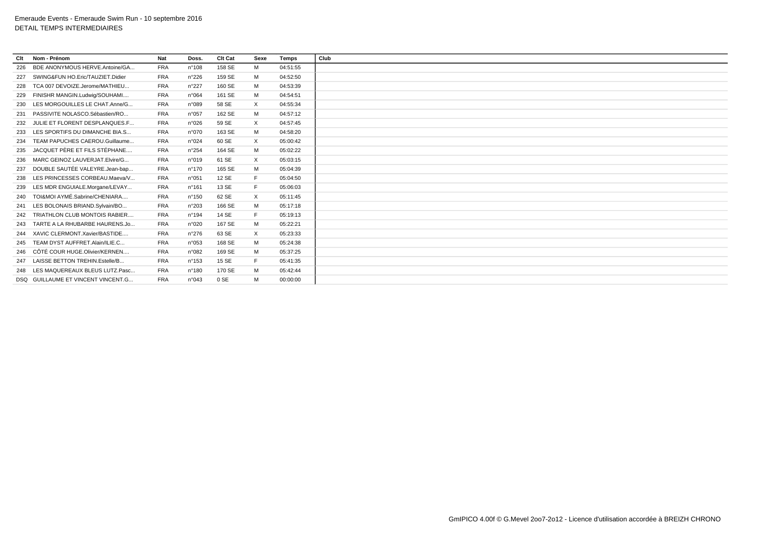| Clt | Nom - Prénom                         | <b>Nat</b> | Doss.           | <b>Clt Cat</b> | Sexe     | Temps    | Club |
|-----|--------------------------------------|------------|-----------------|----------------|----------|----------|------|
| 226 | BDE ANONYMOUS HERVE.Antoine/GA       | <b>FRA</b> | $n^{\circ}108$  | 158 SE         | M        | 04:51:55 |      |
| 227 | SWING&FUN HO.Eric/TAUZIET.Didier     | <b>FRA</b> | $n^{\circ}226$  | 159 SE         | M        | 04:52:50 |      |
| 228 | TCA 007 DEVOIZE.Jerome/MATHIEU       | <b>FRA</b> | n°227           | 160 SE         | M        | 04:53:39 |      |
| 229 | FINISHR MANGIN.Ludwig/SOUHAMI        | <b>FRA</b> | n°064           | 161 SE         | M        | 04:54:51 |      |
| 230 | LES MORGOUILLES LE CHAT.Anne/G       | <b>FRA</b> | n°089           | 58 SE          | X        | 04:55:34 |      |
| 231 | PASSIVITE NOLASCO.Sébastien/RO       | <b>FRA</b> | n°057           | 162 SE         | M        | 04:57:12 |      |
| 232 | JULIE ET FLORENT DESPLANQUES.F       | <b>FRA</b> | n°026           | 59 SE          | $\times$ | 04:57:45 |      |
| 233 | LES SPORTIFS DU DIMANCHE BIA.S       | <b>FRA</b> | n°070           | 163 SE         | M        | 04:58:20 |      |
| 234 | TEAM PAPUCHES CAEROU.Guillaume       | <b>FRA</b> | n°024           | 60 SE          | $\times$ | 05:00:42 |      |
| 235 | JACQUET PÈRE ET FILS STÉPHANE        | <b>FRA</b> | n°254           | 164 SE         | M        | 05:02:22 |      |
| 236 | MARC GEINOZ LAUVERJAT.Elvire/G       | <b>FRA</b> | n°019           | 61 SE          | X        | 05:03:15 |      |
| 237 | DOUBLE SAUTÉE VALEYRE.Jean-bap       | <b>FRA</b> | $n^{\circ}$ 170 | 165 SE         | M        | 05:04:39 |      |
| 238 | LES PRINCESSES CORBEAU.Maeva/V       | <b>FRA</b> | n°051           | 12 SE          | F.       | 05:04:50 |      |
| 239 | LES MDR ENGUIALE.Morgane/LEVAY       | <b>FRA</b> | n°161           | 13 SE          | Е        | 05:06:03 |      |
| 240 | TOI&MOI AYMÉ.Sabrine/CHENIARA        | <b>FRA</b> | n°150           | 62 SE          | $\times$ | 05:11:45 |      |
| 241 | LES BOLONAIS BRIAND. Sylvain/BO      | <b>FRA</b> | n°203           | 166 SE         | M        | 05:17:18 |      |
| 242 | <b>TRIATHLON CLUB MONTOIS RABIER</b> | <b>FRA</b> | $n^{\circ}$ 194 | 14 SE          | F.       | 05:19:13 |      |
| 243 | TARTE A LA RHUBARBE HAURENS.Jo       | <b>FRA</b> | n°020           | 167 SE         | M        | 05:22:21 |      |
| 244 | XAVIC CLERMONT.Xavier/BASTIDE        | <b>FRA</b> | n°276           | 63 SE          | $\times$ | 05:23:33 |      |
| 245 | TEAM DYST AUFFRET.Alain/ILIE.C       | <b>FRA</b> | n°053           | 168 SE         | M        | 05:24:38 |      |
| 246 | CÔTÉ COUR HUGE.Olivier/KERNEN        | <b>FRA</b> | n°082           | 169 SE         | M        | 05:37:25 |      |
|     | 247 LAISSE BETTON TREHIN.Estelle/B   | <b>FRA</b> | $n^{\circ}$ 153 | 15 SE          | Е        | 05:41:35 |      |
| 248 | LES MAQUEREAUX BLEUS LUTZ.Pasc       | <b>FRA</b> | $n^{\circ}$ 180 | 170 SE         | M        | 05:42:44 |      |
|     | DSQ GUILLAUME ET VINCENT VINCENT.G   | <b>FRA</b> | n°043           | 0 SE           | M        | 00:00:00 |      |